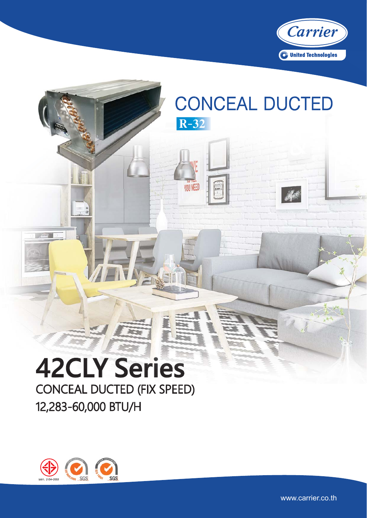

## **CONCEAL DUCTED**  $R-32$

**YOU NEED** 

# **42CLY Series CONCEAL DUCTED (FIX SPEED)** 12,283-60,000 BTU/H



 $\sim$ 

www.carrier.co.th